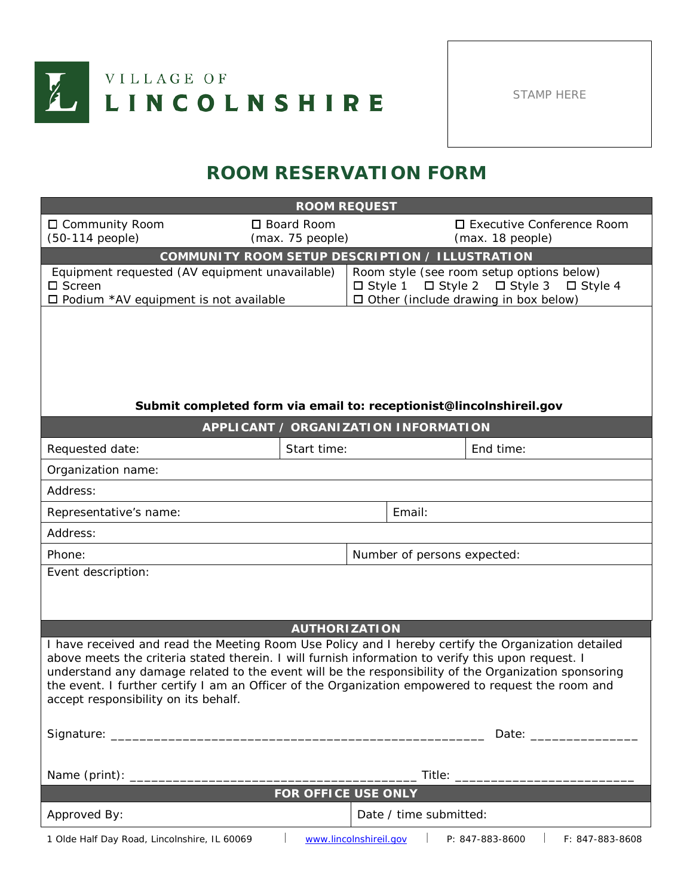

STAMP HERE

## **ROOM RESERVATION FORM**

| <b>ROOM REQUEST</b>                                                                                                                                                                                                                                                                                                                                                                                                                                             |                                             |                                                                                                                                                                  |                                                                                                                                                                                                                                |                                                 |  |  |
|-----------------------------------------------------------------------------------------------------------------------------------------------------------------------------------------------------------------------------------------------------------------------------------------------------------------------------------------------------------------------------------------------------------------------------------------------------------------|---------------------------------------------|------------------------------------------------------------------------------------------------------------------------------------------------------------------|--------------------------------------------------------------------------------------------------------------------------------------------------------------------------------------------------------------------------------|-------------------------------------------------|--|--|
| □ Community Room<br>(50-114 people)                                                                                                                                                                                                                                                                                                                                                                                                                             | □ Board Room<br>(max. 75 people)            |                                                                                                                                                                  |                                                                                                                                                                                                                                | □ Executive Conference Room<br>(max. 18 people) |  |  |
| COMMUNITY ROOM SETUP DESCRIPTION / ILLUSTRATION                                                                                                                                                                                                                                                                                                                                                                                                                 |                                             |                                                                                                                                                                  |                                                                                                                                                                                                                                |                                                 |  |  |
| Equipment requested (AV equipment unavailable)<br>□ Screen<br>□ Podium *AV equipment is not available                                                                                                                                                                                                                                                                                                                                                           |                                             | Room style (see room setup options below)<br>$\Box$ Style 3<br>$\Box$ Style 2<br>$\Box$ Style 1<br>$\Box$ Style 4<br>$\Box$ Other (include drawing in box below) |                                                                                                                                                                                                                                |                                                 |  |  |
| Submit completed form via email to: receptionist@lincolnshireil.gov                                                                                                                                                                                                                                                                                                                                                                                             | <b>APPLICANT / ORGANIZATION INFORMATION</b> |                                                                                                                                                                  |                                                                                                                                                                                                                                |                                                 |  |  |
|                                                                                                                                                                                                                                                                                                                                                                                                                                                                 | Start time:                                 |                                                                                                                                                                  |                                                                                                                                                                                                                                |                                                 |  |  |
| Requested date:<br>Organization name:                                                                                                                                                                                                                                                                                                                                                                                                                           |                                             |                                                                                                                                                                  |                                                                                                                                                                                                                                | End time:                                       |  |  |
| Address:                                                                                                                                                                                                                                                                                                                                                                                                                                                        |                                             |                                                                                                                                                                  |                                                                                                                                                                                                                                |                                                 |  |  |
| Representative's name:                                                                                                                                                                                                                                                                                                                                                                                                                                          |                                             |                                                                                                                                                                  | Email:                                                                                                                                                                                                                         |                                                 |  |  |
| Address:                                                                                                                                                                                                                                                                                                                                                                                                                                                        |                                             |                                                                                                                                                                  |                                                                                                                                                                                                                                |                                                 |  |  |
| Phone:                                                                                                                                                                                                                                                                                                                                                                                                                                                          |                                             |                                                                                                                                                                  |                                                                                                                                                                                                                                | Number of persons expected:                     |  |  |
| Event description:                                                                                                                                                                                                                                                                                                                                                                                                                                              | <b>AUTHORIZATION</b>                        |                                                                                                                                                                  |                                                                                                                                                                                                                                |                                                 |  |  |
| I have received and read the Meeting Room Use Policy and I hereby certify the Organization detailed<br>above meets the criteria stated therein. I will furnish information to verify this upon request. I<br>understand any damage related to the event will be the responsibility of the Organization sponsoring<br>the event. I further certify I am an Officer of the Organization empowered to request the room and<br>accept responsibility on its behalf. |                                             |                                                                                                                                                                  |                                                                                                                                                                                                                                |                                                 |  |  |
|                                                                                                                                                                                                                                                                                                                                                                                                                                                                 |                                             |                                                                                                                                                                  | Date: the contract of the contract of the contract of the contract of the contract of the contract of the contract of the contract of the contract of the contract of the contract of the contract of the contract of the cont |                                                 |  |  |
|                                                                                                                                                                                                                                                                                                                                                                                                                                                                 |                                             |                                                                                                                                                                  |                                                                                                                                                                                                                                |                                                 |  |  |
|                                                                                                                                                                                                                                                                                                                                                                                                                                                                 |                                             |                                                                                                                                                                  |                                                                                                                                                                                                                                |                                                 |  |  |
| <b>FOR OFFICE USE ONLY</b>                                                                                                                                                                                                                                                                                                                                                                                                                                      |                                             |                                                                                                                                                                  |                                                                                                                                                                                                                                |                                                 |  |  |
| Approved By:                                                                                                                                                                                                                                                                                                                                                                                                                                                    |                                             |                                                                                                                                                                  | Date / time submitted:                                                                                                                                                                                                         |                                                 |  |  |
| 1 Olde Half Day Road, Lincolnshire, IL 60069                                                                                                                                                                                                                                                                                                                                                                                                                    | www.lincolnshireil.gov                      |                                                                                                                                                                  |                                                                                                                                                                                                                                | P: 847-883-8600<br>F: 847-883-8608              |  |  |